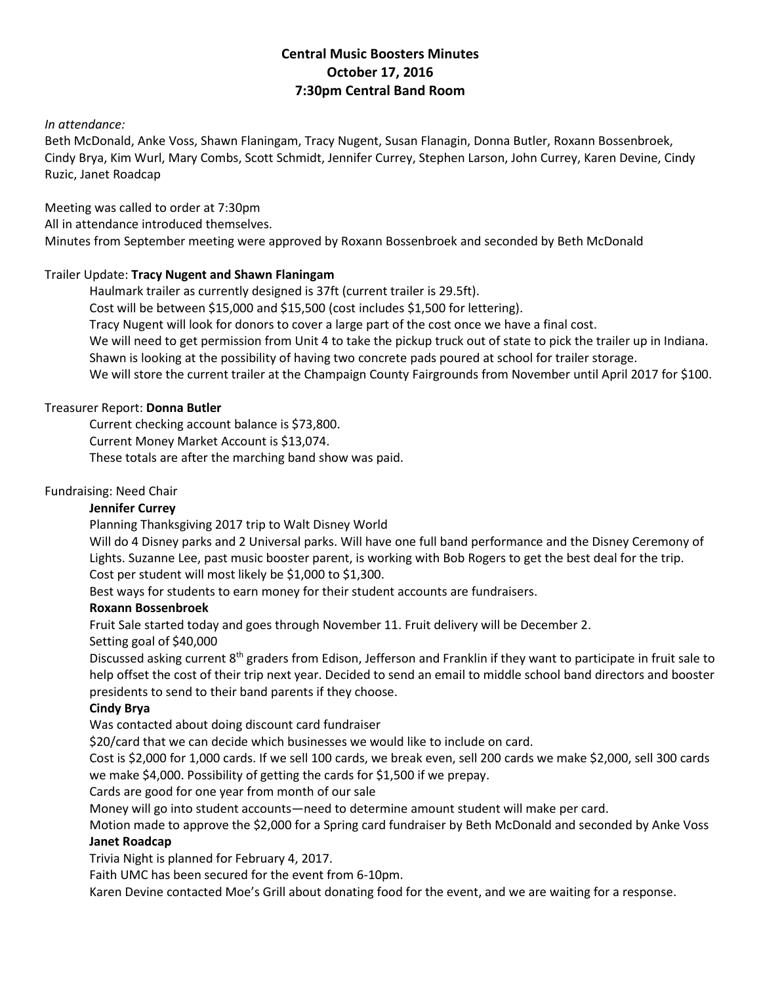# **Central Music Boosters Minutes October 17, 2016 7:30pm Central Band Room**

## *In attendance:*

Beth McDonald, Anke Voss, Shawn Flaningam, Tracy Nugent, Susan Flanagin, Donna Butler, Roxann Bossenbroek, Cindy Brya, Kim Wurl, Mary Combs, Scott Schmidt, Jennifer Currey, Stephen Larson, John Currey, Karen Devine, Cindy Ruzic, Janet Roadcap

Meeting was called to order at 7:30pm

All in attendance introduced themselves.

Minutes from September meeting were approved by Roxann Bossenbroek and seconded by Beth McDonald

### Trailer Update: **Tracy Nugent and Shawn Flaningam**

Haulmark trailer as currently designed is 37ft (current trailer is 29.5ft).

Cost will be between \$15,000 and \$15,500 (cost includes \$1,500 for lettering).

Tracy Nugent will look for donors to cover a large part of the cost once we have a final cost.

We will need to get permission from Unit 4 to take the pickup truck out of state to pick the trailer up in Indiana.

Shawn is looking at the possibility of having two concrete pads poured at school for trailer storage.

We will store the current trailer at the Champaign County Fairgrounds from November until April 2017 for \$100.

### Treasurer Report: **Donna Butler**

Current checking account balance is \$73,800.

Current Money Market Account is \$13,074.

These totals are after the marching band show was paid.

#### Fundraising: Need Chair

#### **Jennifer Currey**

Planning Thanksgiving 2017 trip to Walt Disney World

Will do 4 Disney parks and 2 Universal parks. Will have one full band performance and the Disney Ceremony of Lights. Suzanne Lee, past music booster parent, is working with Bob Rogers to get the best deal for the trip. Cost per student will most likely be \$1,000 to \$1,300.

Best ways for students to earn money for their student accounts are fundraisers.

### **Roxann Bossenbroek**

Fruit Sale started today and goes through November 11. Fruit delivery will be December 2.

Setting goal of \$40,000

Discussed asking current  $8^{th}$  graders from Edison, Jefferson and Franklin if they want to participate in fruit sale to help offset the cost of their trip next year. Decided to send an email to middle school band directors and booster presidents to send to their band parents if they choose.

#### **Cindy Brya**

Was contacted about doing discount card fundraiser

\$20/card that we can decide which businesses we would like to include on card.

Cost is \$2,000 for 1,000 cards. If we sell 100 cards, we break even, sell 200 cards we make \$2,000, sell 300 cards we make \$4,000. Possibility of getting the cards for \$1,500 if we prepay.

Cards are good for one year from month of our sale

Money will go into student accounts—need to determine amount student will make per card.

Motion made to approve the \$2,000 for a Spring card fundraiser by Beth McDonald and seconded by Anke Voss **Janet Roadcap**

Trivia Night is planned for February 4, 2017.

Faith UMC has been secured for the event from 6-10pm.

Karen Devine contacted Moe's Grill about donating food for the event, and we are waiting for a response.